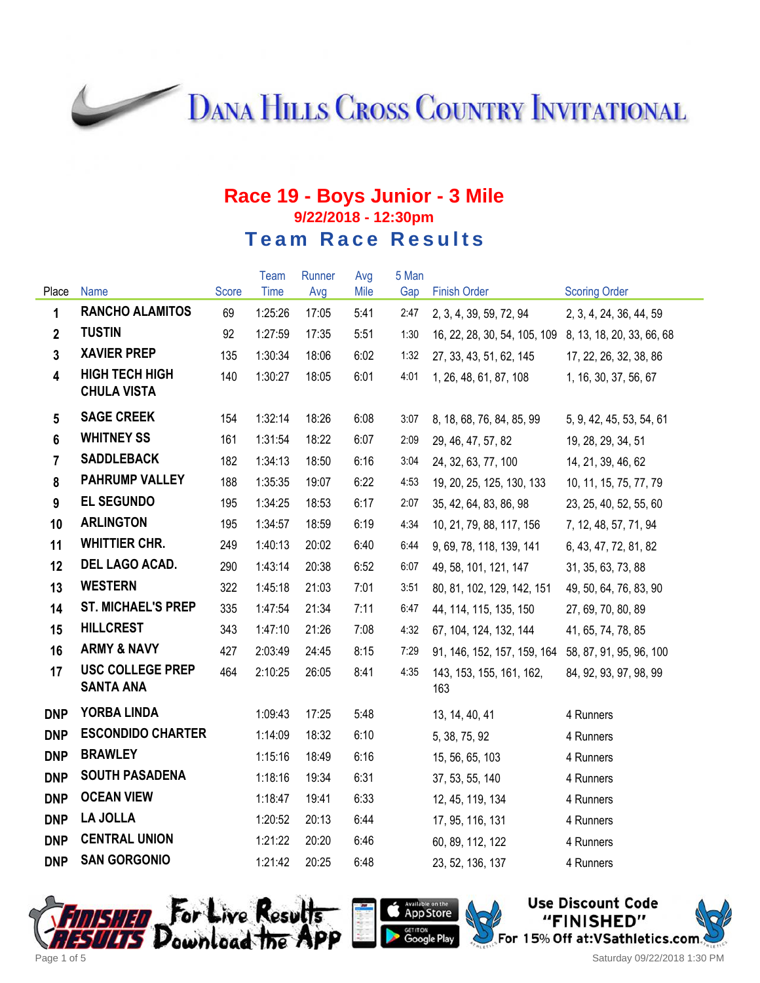**DANA HILLS CROSS COUNTRY INVITATIONAL** 

#### **Race 19 - Boys Junior - 3 Mile 9/22/2018 - 12:30pm Team Race Results**

|                 |                                             |       | Team    | Runner | Avg  | 5 Man |                                                        |                          |
|-----------------|---------------------------------------------|-------|---------|--------|------|-------|--------------------------------------------------------|--------------------------|
| Place           | Name                                        | Score | Time    | Avg    | Mile | Gap   | <b>Finish Order</b>                                    | <b>Scoring Order</b>     |
| $\mathbf{1}$    | <b>RANCHO ALAMITOS</b>                      | 69    | 1:25:26 | 17:05  | 5:41 | 2:47  | 2, 3, 4, 39, 59, 72, 94                                | 2, 3, 4, 24, 36, 44, 59  |
| $\overline{2}$  | <b>TUSTIN</b>                               | 92    | 1:27:59 | 17:35  | 5:51 | 1:30  | 16, 22, 28, 30, 54, 105, 109 8, 13, 18, 20, 33, 66, 68 |                          |
| $\mathbf{3}$    | <b>XAVIER PREP</b>                          | 135   | 1:30:34 | 18:06  | 6:02 | 1:32  | 27, 33, 43, 51, 62, 145                                | 17, 22, 26, 32, 38, 86   |
| $\overline{4}$  | <b>HIGH TECH HIGH</b><br><b>CHULA VISTA</b> | 140   | 1:30:27 | 18:05  | 6:01 | 4:01  | 1, 26, 48, 61, 87, 108                                 | 1, 16, 30, 37, 56, 67    |
| $5\phantom{.0}$ | <b>SAGE CREEK</b>                           | 154   | 1:32:14 | 18:26  | 6:08 | 3:07  | 8, 18, 68, 76, 84, 85, 99                              | 5, 9, 42, 45, 53, 54, 61 |
| $6\phantom{a}$  | <b>WHITNEY SS</b>                           | 161   | 1:31:54 | 18:22  | 6:07 | 2:09  | 29, 46, 47, 57, 82                                     | 19, 28, 29, 34, 51       |
| $\overline{7}$  | <b>SADDLEBACK</b>                           | 182   | 1:34:13 | 18:50  | 6:16 | 3:04  | 24, 32, 63, 77, 100                                    | 14, 21, 39, 46, 62       |
| 8               | <b>PAHRUMP VALLEY</b>                       | 188   | 1:35:35 | 19:07  | 6:22 | 4:53  | 19, 20, 25, 125, 130, 133                              | 10, 11, 15, 75, 77, 79   |
| 9               | <b>EL SEGUNDO</b>                           | 195   | 1:34:25 | 18:53  | 6:17 | 2:07  | 35, 42, 64, 83, 86, 98                                 | 23, 25, 40, 52, 55, 60   |
| 10              | <b>ARLINGTON</b>                            | 195   | 1:34:57 | 18:59  | 6:19 | 4:34  | 10, 21, 79, 88, 117, 156                               | 7, 12, 48, 57, 71, 94    |
| 11              | <b>WHITTIER CHR.</b>                        | 249   | 1:40:13 | 20:02  | 6:40 | 6:44  | 9, 69, 78, 118, 139, 141                               | 6, 43, 47, 72, 81, 82    |
| 12              | DEL LAGO ACAD.                              | 290   | 1:43:14 | 20:38  | 6:52 | 6:07  | 49, 58, 101, 121, 147                                  | 31, 35, 63, 73, 88       |
| 13              | <b>WESTERN</b>                              | 322   | 1:45:18 | 21:03  | 7:01 | 3:51  | 80, 81, 102, 129, 142, 151                             | 49, 50, 64, 76, 83, 90   |
| 14              | <b>ST. MICHAEL'S PREP</b>                   | 335   | 1:47:54 | 21:34  | 7:11 | 6:47  | 44, 114, 115, 135, 150                                 | 27, 69, 70, 80, 89       |
| 15              | <b>HILLCREST</b>                            | 343   | 1:47:10 | 21:26  | 7:08 | 4:32  | 67, 104, 124, 132, 144                                 | 41, 65, 74, 78, 85       |
| 16              | <b>ARMY &amp; NAVY</b>                      | 427   | 2:03:49 | 24:45  | 8:15 | 7:29  | 91, 146, 152, 157, 159, 164 58, 87, 91, 95, 96, 100    |                          |
| 17              | <b>USC COLLEGE PREP</b><br><b>SANTA ANA</b> | 464   | 2:10:25 | 26:05  | 8:41 | 4:35  | 143, 153, 155, 161, 162,<br>163                        | 84, 92, 93, 97, 98, 99   |
| <b>DNP</b>      | YORBA LINDA                                 |       | 1:09:43 | 17:25  | 5:48 |       | 13, 14, 40, 41                                         | 4 Runners                |
| <b>DNP</b>      | <b>ESCONDIDO CHARTER</b>                    |       | 1:14:09 | 18:32  | 6:10 |       | 5, 38, 75, 92                                          | 4 Runners                |
| <b>DNP</b>      | <b>BRAWLEY</b>                              |       | 1:15:16 | 18:49  | 6:16 |       | 15, 56, 65, 103                                        | 4 Runners                |
| <b>DNP</b>      | <b>SOUTH PASADENA</b>                       |       | 1:18:16 | 19:34  | 6:31 |       | 37, 53, 55, 140                                        | 4 Runners                |
| <b>DNP</b>      | <b>OCEAN VIEW</b>                           |       | 1:18:47 | 19:41  | 6:33 |       | 12, 45, 119, 134                                       | 4 Runners                |
| <b>DNP</b>      | <b>LA JOLLA</b>                             |       | 1:20:52 | 20:13  | 6:44 |       | 17, 95, 116, 131                                       | 4 Runners                |
| <b>DNP</b>      | <b>CENTRAL UNION</b>                        |       | 1:21:22 | 20:20  | 6:46 |       | 60, 89, 112, 122                                       | 4 Runners                |
| <b>DNP</b>      | <b>SAN GORGONIO</b>                         |       | 1:21:42 | 20:25  | 6:48 |       | 23, 52, 136, 137                                       | 4 Runners                |







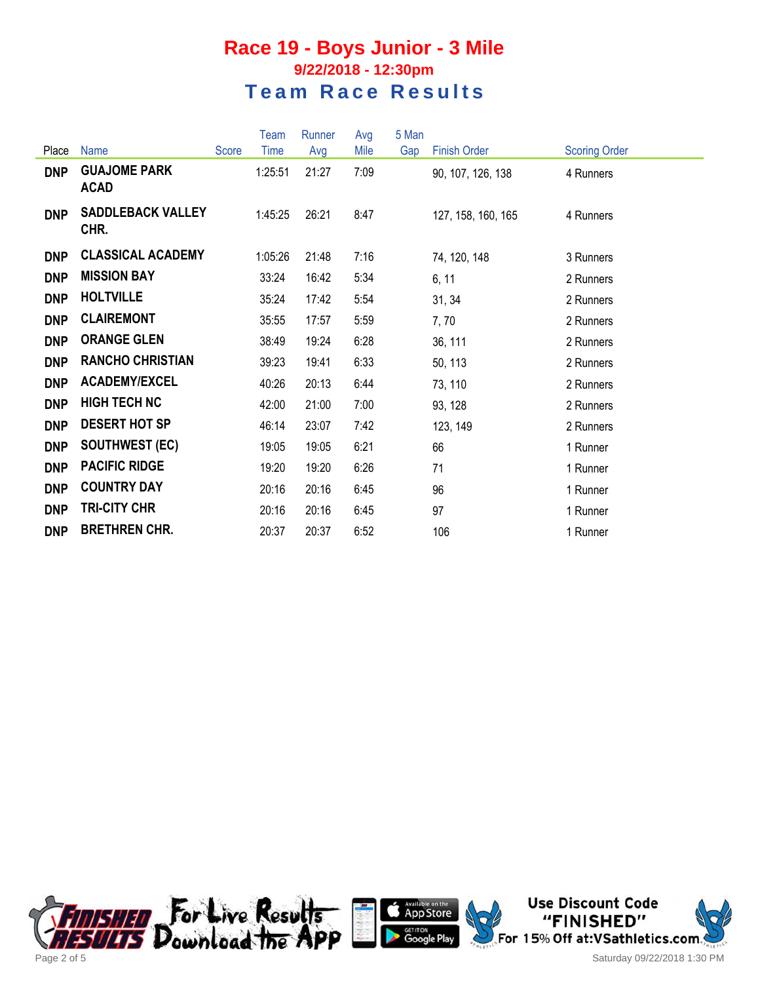#### **Race 19 - Boys Junior - 3 Mile 9/22/2018 - 12:30pm Team Race Results**

|            |                                    |       | Team    | Runner | Avg  | 5 Man |                     |                      |
|------------|------------------------------------|-------|---------|--------|------|-------|---------------------|----------------------|
| Place      | <b>Name</b>                        | Score | Time    | Avg    | Mile | Gap   | <b>Finish Order</b> | <b>Scoring Order</b> |
| <b>DNP</b> | <b>GUAJOME PARK</b><br><b>ACAD</b> |       | 1:25:51 | 21:27  | 7:09 |       | 90, 107, 126, 138   | 4 Runners            |
| <b>DNP</b> | <b>SADDLEBACK VALLEY</b><br>CHR.   |       | 1:45:25 | 26:21  | 8:47 |       | 127, 158, 160, 165  | 4 Runners            |
| <b>DNP</b> | <b>CLASSICAL ACADEMY</b>           |       | 1:05:26 | 21:48  | 7:16 |       | 74, 120, 148        | 3 Runners            |
| <b>DNP</b> | <b>MISSION BAY</b>                 |       | 33:24   | 16:42  | 5:34 |       | 6, 11               | 2 Runners            |
| <b>DNP</b> | <b>HOLTVILLE</b>                   |       | 35:24   | 17:42  | 5:54 |       | 31, 34              | 2 Runners            |
| <b>DNP</b> | <b>CLAIREMONT</b>                  |       | 35:55   | 17:57  | 5:59 |       | 7,70                | 2 Runners            |
| <b>DNP</b> | <b>ORANGE GLEN</b>                 |       | 38:49   | 19:24  | 6:28 |       | 36, 111             | 2 Runners            |
| <b>DNP</b> | <b>RANCHO CHRISTIAN</b>            |       | 39:23   | 19:41  | 6:33 |       | 50, 113             | 2 Runners            |
| <b>DNP</b> | <b>ACADEMY/EXCEL</b>               |       | 40:26   | 20:13  | 6:44 |       | 73, 110             | 2 Runners            |
| <b>DNP</b> | <b>HIGH TECH NC</b>                |       | 42:00   | 21:00  | 7:00 |       | 93, 128             | 2 Runners            |
| <b>DNP</b> | <b>DESERT HOT SP</b>               |       | 46:14   | 23:07  | 7:42 |       | 123, 149            | 2 Runners            |
| <b>DNP</b> | <b>SOUTHWEST (EC)</b>              |       | 19:05   | 19:05  | 6:21 |       | 66                  | 1 Runner             |
| <b>DNP</b> | <b>PACIFIC RIDGE</b>               |       | 19:20   | 19:20  | 6:26 |       | 71                  | 1 Runner             |
| <b>DNP</b> | <b>COUNTRY DAY</b>                 |       | 20:16   | 20:16  | 6:45 |       | 96                  | 1 Runner             |
| <b>DNP</b> | <b>TRI-CITY CHR</b>                |       | 20:16   | 20:16  | 6:45 |       | 97                  | 1 Runner             |
| <b>DNP</b> | <b>BRETHREN CHR.</b>               |       | 20:37   | 20:37  | 6:52 |       | 106                 | 1 Runner             |





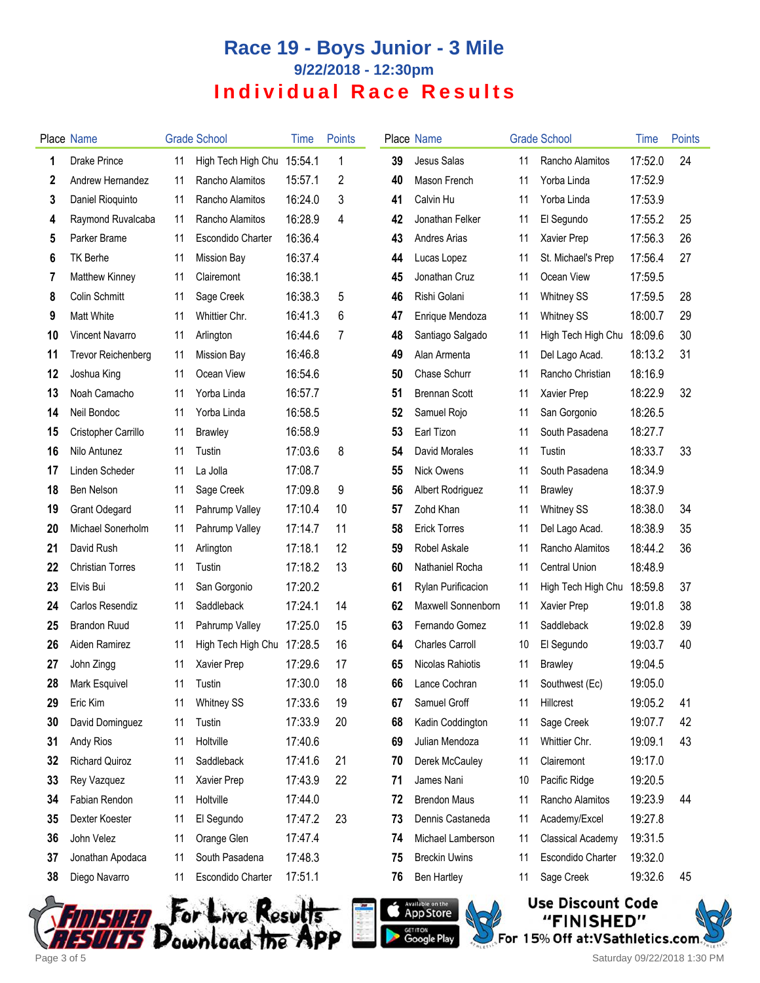# **Race 19 - Boys Junior - 3 Mile 9/22/2018 - 12:30pm Individual Race Results**

|    | <b>Place Name</b>         |    | <b>Grade School</b>      | Time    | <b>Points</b> |    | Place Name                |    | <b>Grade School</b>      | Time    | <b>Points</b> |
|----|---------------------------|----|--------------------------|---------|---------------|----|---------------------------|----|--------------------------|---------|---------------|
| 1  | <b>Drake Prince</b>       | 11 | High Tech High Chu       | 15:54.1 | 1             | 39 | Jesus Salas               | 11 | Rancho Alamitos          | 17:52.0 | 24            |
| 2  | Andrew Hernandez          | 11 | Rancho Alamitos          | 15:57.1 | 2             | 40 | Mason French              | 11 | Yorba Linda              | 17:52.9 |               |
| 3  | Daniel Rioquinto          | 11 | Rancho Alamitos          | 16:24.0 | 3             | 41 | Calvin Hu                 | 11 | Yorba Linda              | 17:53.9 |               |
| 4  | Raymond Ruvalcaba         | 11 | Rancho Alamitos          | 16:28.9 | 4             | 42 | Jonathan Felker           | 11 | El Segundo               | 17:55.2 | 25            |
| 5  | Parker Brame              | 11 | <b>Escondido Charter</b> | 16:36.4 |               | 43 | Andres Arias              | 11 | Xavier Prep              | 17:56.3 | 26            |
| 6  | <b>TK Berhe</b>           | 11 | <b>Mission Bay</b>       | 16:37.4 |               | 44 | Lucas Lopez               | 11 | St. Michael's Prep       | 17:56.4 | 27            |
| 7  | Matthew Kinney            | 11 | Clairemont               | 16:38.1 |               | 45 | Jonathan Cruz             | 11 | Ocean View               | 17:59.5 |               |
| 8  | Colin Schmitt             | 11 | Sage Creek               | 16:38.3 | 5             | 46 | Rishi Golani              | 11 | <b>Whitney SS</b>        | 17:59.5 | 28            |
| 9  | <b>Matt White</b>         | 11 | Whittier Chr.            | 16:41.3 | 6             | 47 | Enrique Mendoza           | 11 | <b>Whitney SS</b>        | 18:00.7 | 29            |
| 10 | <b>Vincent Navarro</b>    | 11 | Arlington                | 16:44.6 | 7             | 48 | Santiago Salgado          | 11 | High Tech High Chu       | 18:09.6 | 30            |
| 11 | <b>Trevor Reichenberg</b> | 11 | <b>Mission Bay</b>       | 16:46.8 |               | 49 | Alan Armenta              | 11 | Del Lago Acad.           | 18:13.2 | 31            |
| 12 | Joshua King               | 11 | Ocean View               | 16:54.6 |               | 50 | Chase Schurr              | 11 | Rancho Christian         | 18:16.9 |               |
| 13 | Noah Camacho              | 11 | Yorba Linda              | 16:57.7 |               | 51 | <b>Brennan Scott</b>      | 11 | Xavier Prep              | 18:22.9 | 32            |
| 14 | Neil Bondoc               | 11 | Yorba Linda              | 16:58.5 |               | 52 | Samuel Rojo               | 11 | San Gorgonio             | 18:26.5 |               |
| 15 | Cristopher Carrillo       | 11 | <b>Brawley</b>           | 16:58.9 |               | 53 | Earl Tizon                | 11 | South Pasadena           | 18:27.7 |               |
| 16 | Nilo Antunez              | 11 | Tustin                   | 17:03.6 | 8             | 54 | David Morales             | 11 | Tustin                   | 18:33.7 | 33            |
| 17 | Linden Scheder            | 11 | La Jolla                 | 17:08.7 |               | 55 | Nick Owens                | 11 | South Pasadena           | 18:34.9 |               |
| 18 | Ben Nelson                | 11 | Sage Creek               | 17:09.8 | 9             | 56 | Albert Rodriguez          | 11 | <b>Brawley</b>           | 18:37.9 |               |
| 19 | <b>Grant Odegard</b>      | 11 | Pahrump Valley           | 17:10.4 | 10            | 57 | Zohd Khan                 | 11 | <b>Whitney SS</b>        | 18:38.0 | 34            |
| 20 | Michael Sonerholm         | 11 | Pahrump Valley           | 17:14.7 | 11            | 58 | <b>Erick Torres</b>       | 11 | Del Lago Acad.           | 18:38.9 | 35            |
| 21 | David Rush                | 11 | Arlington                | 17:18.1 | 12            | 59 | Robel Askale              | 11 | Rancho Alamitos          | 18:44.2 | 36            |
| 22 | <b>Christian Torres</b>   | 11 | Tustin                   | 17:18.2 | 13            | 60 | Nathaniel Rocha           | 11 | <b>Central Union</b>     | 18:48.9 |               |
| 23 | Elvis Bui                 | 11 | San Gorgonio             | 17:20.2 |               | 61 | Rylan Purificacion        | 11 | High Tech High Chu       | 18:59.8 | 37            |
| 24 | Carlos Resendiz           | 11 | Saddleback               | 17:24.1 | 14            | 62 | <b>Maxwell Sonnenborn</b> | 11 | Xavier Prep              | 19:01.8 | 38            |
| 25 | <b>Brandon Ruud</b>       | 11 | Pahrump Valley           | 17:25.0 | 15            | 63 | Fernando Gomez            | 11 | Saddleback               | 19:02.8 | 39            |
| 26 | Aiden Ramirez             | 11 | High Tech High Chu       | 17:28.5 | 16            | 64 | <b>Charles Carroll</b>    | 10 | El Segundo               | 19:03.7 | 40            |
| 27 | John Zingg                | 11 | Xavier Prep              | 17:29.6 | 17            | 65 | Nicolas Rahiotis          | 11 | <b>Brawley</b>           | 19:04.5 |               |
| 28 | Mark Esquivel             | 11 | Tustin                   | 17:30.0 | 18            |    | 66 Lance Cochran          | 11 | Southwest (Ec)           | 19:05.0 |               |
| 29 | Eric Kim                  | 11 | <b>Whitney SS</b>        | 17:33.6 | 19            | 67 | Samuel Groff              | 11 | Hillcrest                | 19:05.2 | 41            |
| 30 | David Dominguez           | 11 | Tustin                   | 17:33.9 | 20            | 68 | Kadin Coddington          | 11 | Sage Creek               | 19:07.7 | 42            |
| 31 | Andy Rios                 | 11 | Holtville                | 17:40.6 |               | 69 | Julian Mendoza            | 11 | Whittier Chr.            | 19:09.1 | 43            |
| 32 | <b>Richard Quiroz</b>     | 11 | Saddleback               | 17:41.6 | 21            | 70 | Derek McCauley            | 11 | Clairemont               | 19:17.0 |               |
| 33 | Rey Vazquez               | 11 | Xavier Prep              | 17:43.9 | 22            | 71 | James Nani                | 10 | Pacific Ridge            | 19:20.5 |               |
| 34 | Fabian Rendon             | 11 | Holtville                | 17:44.0 |               | 72 | <b>Brendon Maus</b>       | 11 | Rancho Alamitos          | 19:23.9 | 44            |
| 35 | Dexter Koester            | 11 | El Segundo               | 17:47.2 | 23            | 73 | Dennis Castaneda          | 11 | Academy/Excel            | 19:27.8 |               |
| 36 | John Velez                | 11 | Orange Glen              | 17:47.4 |               | 74 | Michael Lamberson         | 11 | <b>Classical Academy</b> | 19:31.5 |               |
| 37 | Jonathan Apodaca          | 11 | South Pasadena           | 17:48.3 |               | 75 | <b>Breckin Uwins</b>      | 11 | Escondido Charter        | 19:32.0 |               |
| 38 | Diego Navarro             | 11 | Escondido Charter        | 17:51.1 |               | 76 | <b>Ben Hartley</b>        | 11 | Sage Creek               | 19:32.6 | 45            |
|    |                           |    |                          |         |               |    |                           |    |                          |         |               |







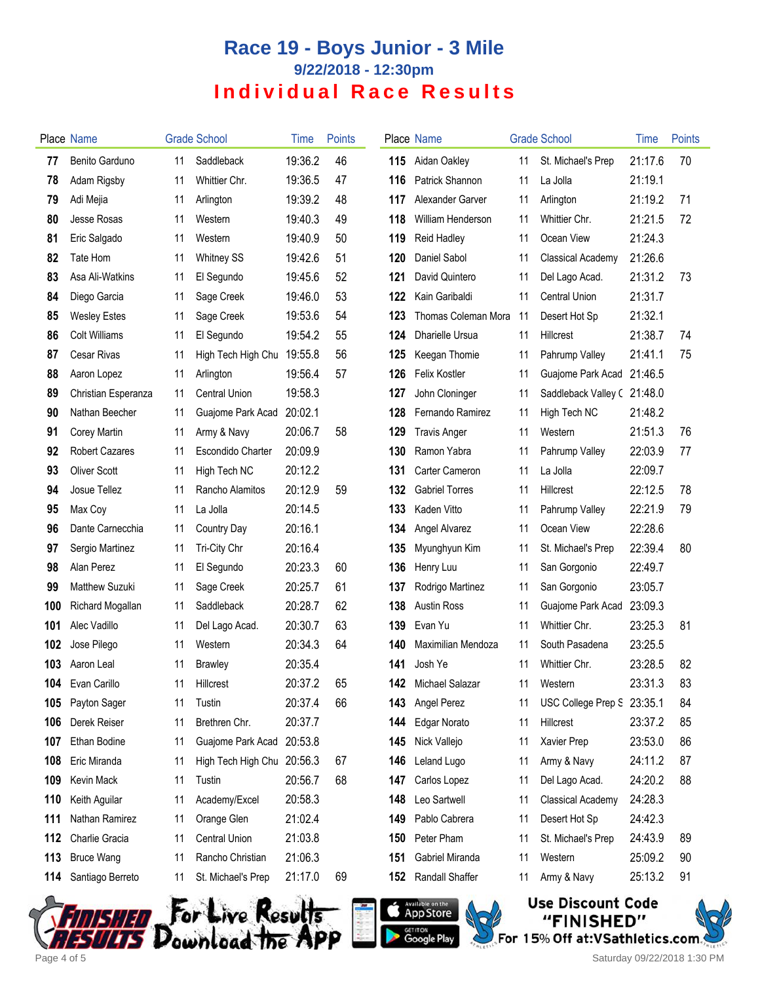# **Race 19 - Boys Junior - 3 Mile 9/22/2018 - 12:30pm Individual Race Results**

|     | Place Name            |    | <b>Grade School</b>        | Time    | <b>Points</b> |     | Place Name            |    | <b>Grade School</b>        | Time    | <b>Points</b> |
|-----|-----------------------|----|----------------------------|---------|---------------|-----|-----------------------|----|----------------------------|---------|---------------|
| 77  | Benito Garduno        | 11 | Saddleback                 | 19:36.2 | 46            | 115 | Aidan Oakley          | 11 | St. Michael's Prep         | 21:17.6 | 70            |
| 78  | Adam Rigsby           | 11 | Whittier Chr.              | 19:36.5 | 47            | 116 | Patrick Shannon       | 11 | La Jolla                   | 21:19.1 |               |
| 79  | Adi Mejia             | 11 | Arlington                  | 19:39.2 | 48            | 117 | Alexander Garver      | 11 | Arlington                  | 21:19.2 | 71            |
| 80  | Jesse Rosas           | 11 | Western                    | 19:40.3 | 49            | 118 | William Henderson     | 11 | Whittier Chr.              | 21:21.5 | 72            |
| 81  | Eric Salgado          | 11 | Western                    | 19:40.9 | 50            | 119 | Reid Hadley           | 11 | Ocean View                 | 21:24.3 |               |
| 82  | Tate Hom              | 11 | <b>Whitney SS</b>          | 19:42.6 | 51            | 120 | Daniel Sabol          | 11 | <b>Classical Academy</b>   | 21:26.6 |               |
| 83  | Asa Ali-Watkins       | 11 | El Segundo                 | 19:45.6 | 52            | 121 | David Quintero        | 11 | Del Lago Acad.             | 21:31.2 | 73            |
| 84  | Diego Garcia          | 11 | Sage Creek                 | 19:46.0 | 53            | 122 | Kain Garibaldi        | 11 | Central Union              | 21:31.7 |               |
| 85  | <b>Wesley Estes</b>   | 11 | Sage Creek                 | 19:53.6 | 54            | 123 | Thomas Coleman Mora   | 11 | Desert Hot Sp              | 21:32.1 |               |
| 86  | <b>Colt Williams</b>  | 11 | El Segundo                 | 19:54.2 | 55            | 124 | Dharielle Ursua       | 11 | <b>Hillcrest</b>           | 21:38.7 | 74            |
| 87  | <b>Cesar Rivas</b>    | 11 | High Tech High Chu         | 19:55.8 | 56            | 125 | Keegan Thomie         | 11 | Pahrump Valley             | 21:41.1 | 75            |
| 88  | Aaron Lopez           | 11 | Arlington                  | 19:56.4 | 57            | 126 | <b>Felix Kostler</b>  | 11 | Guajome Park Acad          | 21:46.5 |               |
| 89  | Christian Esperanza   | 11 | Central Union              | 19:58.3 |               | 127 | John Cloninger        | 11 | Saddleback Valley (21:48.0 |         |               |
| 90  | Nathan Beecher        | 11 | Guajome Park Acad          | 20:02.1 |               | 128 | Fernando Ramirez      | 11 | High Tech NC               | 21:48.2 |               |
| 91  | Corey Martin          | 11 | Army & Navy                | 20:06.7 | 58            | 129 | <b>Travis Anger</b>   | 11 | Western                    | 21:51.3 | 76            |
| 92  | <b>Robert Cazares</b> | 11 | <b>Escondido Charter</b>   | 20:09.9 |               | 130 | Ramon Yabra           | 11 | Pahrump Valley             | 22:03.9 | 77            |
| 93  | <b>Oliver Scott</b>   | 11 | High Tech NC               | 20:12.2 |               | 131 | Carter Cameron        | 11 | La Jolla                   | 22:09.7 |               |
| 94  | Josue Tellez          | 11 | Rancho Alamitos            | 20:12.9 | 59            | 132 | <b>Gabriel Torres</b> | 11 | <b>Hillcrest</b>           | 22:12.5 | 78            |
| 95  | Max Coy               | 11 | La Jolla                   | 20:14.5 |               | 133 | Kaden Vitto           | 11 | Pahrump Valley             | 22:21.9 | 79            |
| 96  | Dante Carnecchia      | 11 | Country Day                | 20:16.1 |               | 134 | Angel Alvarez         | 11 | Ocean View                 | 22:28.6 |               |
| 97  | Sergio Martinez       | 11 | Tri-City Chr               | 20:16.4 |               | 135 | Myunghyun Kim         | 11 | St. Michael's Prep         | 22:39.4 | 80            |
| 98  | Alan Perez            | 11 | El Segundo                 | 20:23.3 | 60            | 136 | Henry Luu             | 11 | San Gorgonio               | 22:49.7 |               |
| 99  | <b>Matthew Suzuki</b> | 11 | Sage Creek                 | 20:25.7 | 61            | 137 | Rodrigo Martinez      | 11 | San Gorgonio               | 23:05.7 |               |
| 100 | Richard Mogallan      | 11 | Saddleback                 | 20:28.7 | 62            | 138 | <b>Austin Ross</b>    | 11 | Guajome Park Acad          | 23:09.3 |               |
| 101 | Alec Vadillo          | 11 | Del Lago Acad.             | 20:30.7 | 63            | 139 | Evan Yu               | 11 | Whittier Chr.              | 23:25.3 | 81            |
| 102 | Jose Pilego           | 11 | Western                    | 20:34.3 | 64            | 140 | Maximilian Mendoza    | 11 | South Pasadena             | 23:25.5 |               |
| 103 | Aaron Leal            | 11 | <b>Brawley</b>             | 20:35.4 |               | 141 | Josh Ye               | 11 | Whittier Chr.              | 23:28.5 | 82            |
| 104 | Evan Carillo          | 11 | Hillcrest                  | 20:37.2 | 65            | 142 | Michael Salazar       | 11 | Western                    | 23:31.3 | 83            |
| 105 | Payton Sager          | 11 | Tustin                     | 20:37.4 | 66            | 143 | Angel Perez           | 11 | USC College Prep S 23:35.1 |         | 84            |
| 106 | Derek Reiser          | 11 | Brethren Chr.              | 20:37.7 |               | 144 | <b>Edgar Norato</b>   | 11 | Hillcrest                  | 23:37.2 | 85            |
| 107 | Ethan Bodine          | 11 | Guajome Park Acad 20:53.8  |         |               | 145 | Nick Vallejo          | 11 | Xavier Prep                | 23:53.0 | 86            |
| 108 | Eric Miranda          | 11 | High Tech High Chu 20:56.3 |         | 67            | 146 | Leland Lugo           | 11 | Army & Navy                | 24:11.2 | 87            |
| 109 | Kevin Mack            | 11 | Tustin                     | 20:56.7 | 68            | 147 | Carlos Lopez          | 11 | Del Lago Acad.             | 24:20.2 | 88            |
| 110 | Keith Aguilar         | 11 | Academy/Excel              | 20:58.3 |               | 148 | Leo Sartwell          | 11 | <b>Classical Academy</b>   | 24:28.3 |               |
| 111 | Nathan Ramirez        | 11 | Orange Glen                | 21:02.4 |               | 149 | Pablo Cabrera         | 11 | Desert Hot Sp              | 24:42.3 |               |
| 112 | Charlie Gracia        | 11 | <b>Central Union</b>       | 21:03.8 |               | 150 | Peter Pham            | 11 | St. Michael's Prep         | 24:43.9 | 89            |
| 113 | <b>Bruce Wang</b>     | 11 | Rancho Christian           | 21:06.3 |               | 151 | Gabriel Miranda       | 11 | Western                    | 25:09.2 | 90            |
| 114 | Santiago Berreto      | 11 | St. Michael's Prep         | 21:17.0 | 69            | 152 | Randall Shaffer       | 11 | Army & Navy                | 25:13.2 | 91            |